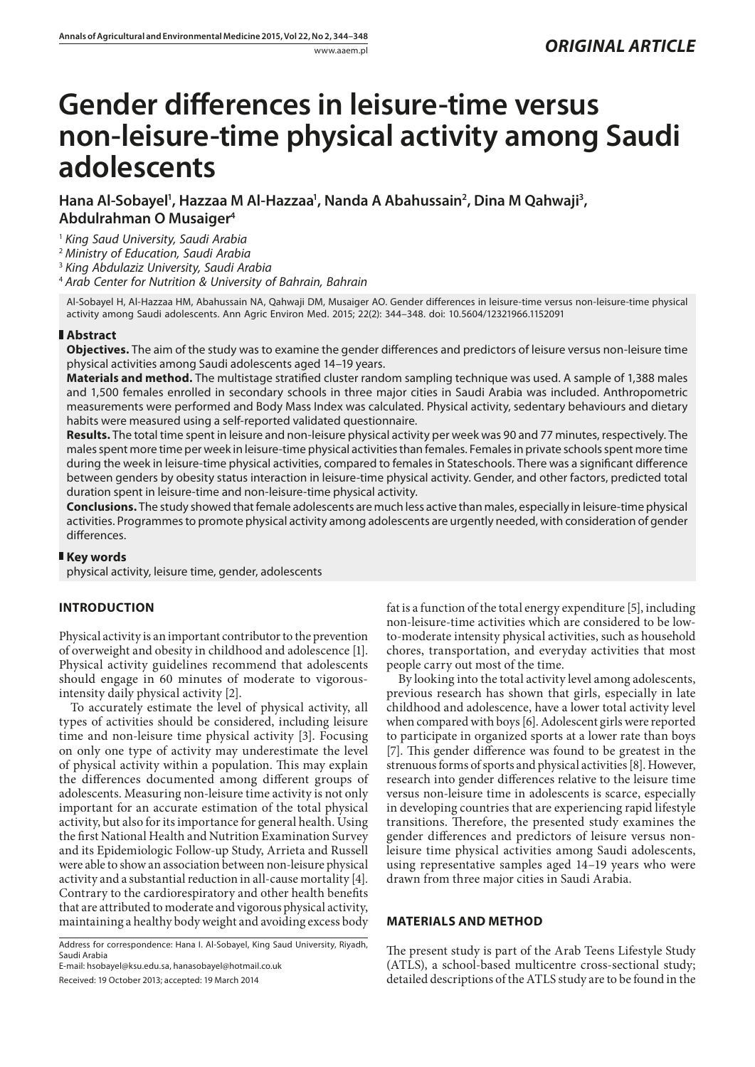# **Gender differences in leisure-time versus non-leisure-time physical activity among Saudi adolescents**

Hana Al-Sobayel<sup>1</sup>, Hazzaa M Al-Hazzaa<sup>1</sup>, Nanda A Abahussain<sup>2</sup>, Dina M Qahwaji<sup>3</sup>, **Abdulrahman O Musaiger4**

<sup>1</sup> *King Saud University, Saudi Arabia*

<sup>2</sup> *Ministry of Education, Saudi Arabia*

<sup>3</sup> *King Abdulaziz University, Saudi Arabia*

<sup>4</sup> *Arab Center for Nutrition & University of Bahrain, Bahrain*

Al-Sobayel H, Al-Hazzaa HM, Abahussain NA, Qahwaji DM, Musaiger AO. Gender differences in leisure-time versus non-leisure-time physical activity among Saudi adolescents. Ann Agric Environ Med. 2015; 22(2): 344–348. doi: 10.5604/12321966.1152091

## **Abstract**

**Objectives.** The aim of the study was to examine the gender differences and predictors of leisure versus non-leisure time physical activities among Saudi adolescents aged 14–19 years.

**Materials and method.** The multistage stratified cluster random sampling technique was used. A sample of 1,388 males and 1,500 females enrolled in secondary schools in three major cities in Saudi Arabia was included. Anthropometric measurements were performed and Body Mass Index was calculated. Physical activity, sedentary behaviours and dietary habits were measured using a self-reported validated questionnaire.

**Results.** The total time spent in leisure and non-leisure physical activity per week was 90 and 77 minutes, respectively. The males spent more time per week in leisure-time physical activities than females. Females in private schools spent more time during the week in leisure-time physical activities, compared to females in Stateschools. There was a significant difference between genders by obesity status interaction in leisure-time physical activity. Gender, and other factors, predicted total duration spent in leisure-time and non-leisure-time physical activity.

**Conclusions.** The study showed that female adolescents are much less active than males, especially in leisure-time physical activities. Programmes to promote physical activity among adolescents are urgently needed, with consideration of gender differences.

#### **Key words**

physical activity, leisure time, gender, adolescents

# **INTRODUCTION**

Physical activity is an important contributor to the prevention of overweight and obesity in childhood and adolescence [1]. Physical activity guidelines recommend that adolescents should engage in 60 minutes of moderate to vigorousintensity daily physical activity [2].

To accurately estimate the level of physical activity, all types of activities should be considered, including leisure time and non-leisure time physical activity [3]. Focusing on only one type of activity may underestimate the level of physical activity within a population. This may explain the differences documented among different groups of adolescents. Measuring non-leisure time activity is not only important for an accurate estimation of the total physical activity, but also for its importance for general health. Using the first National Health and Nutrition Examination Survey and its Epidemiologic Follow-up Study, [Arrieta and](http://www.ncbi.nlm.nih.gov/pubmed?term=Arrieta%20A%5BAuthor%5D&cauthor=true&cauthor_uid=19041587) [Russell](http://www.ncbi.nlm.nih.gov/pubmed?term=Russell%20LB%5BAuthor%5D&cauthor=true&cauthor_uid=19041587) were able to show an association between non-leisure physical activity and a substantial reduction in all-cause mortality [4]. Contrary to the cardiorespiratory and other health benefits that are attributed to moderate and vigorous physical activity, maintaining a healthy body weight and avoiding excess body

Address for correspondence: Hana I. Al-Sobayel, King Saud University, Riyadh, Saudi Arabia

E-mail: hsobayel@ksu.edu.sa, hanasobayel@hotmail.co.uk

Received: 19 October 2013; accepted: 19 March 2014

fat is a function of the total energy expenditure [5], including non-leisure-time activities which are considered to be lowto-moderate intensity physical activities, such as household chores, transportation, and everyday activities that most people carry out most of the time.

By looking into the total activity level among adolescents, previous research has shown that girls, especially in late childhood and adolescence, have a lower total activity level when compared with boys [6]. Adolescent girls were reported to participate in organized sports at a lower rate than boys [7]. This gender difference was found to be greatest in the strenuous forms of sports and physical activities [8]. However, research into gender differences relative to the leisure time versus non-leisure time in adolescents is scarce, especially in developing countries that are experiencing rapid lifestyle transitions. Therefore, the presented study examines the gender differences and predictors of leisure versus nonleisure time physical activities among Saudi adolescents, using representative samples aged 14–19 years who were drawn from three major cities in Saudi Arabia.

## **MATERIALS AND METHOD**

The present study is part of the Arab Teens Lifestyle Study (ATLS), a school-based multicentre cross-sectional study; detailed descriptions of the ATLS study are to be found in the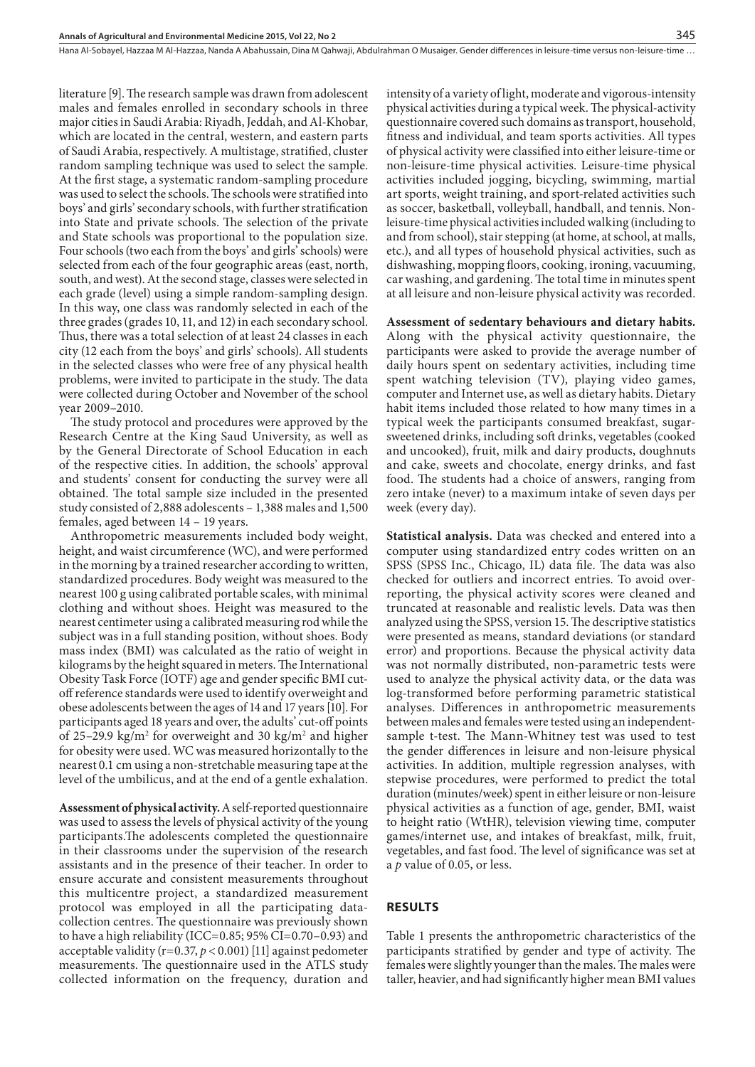Hana Al-Sobayel, Hazzaa M Al-Hazzaa, Nanda A Abahussain, Dina M Qahwaji, Abdulrahman O Musaiger . Gender differences in leisure-time versus non-leisure-time …

literature [9]. The research sample was drawn from adolescent males and females enrolled in secondary schools in three major cities in Saudi Arabia: Riyadh, Jeddah, and Al-Khobar, which are located in the central, western, and eastern parts of Saudi Arabia, respectively. A multistage, stratified, cluster random sampling technique was used to select the sample. At the first stage, a systematic random-sampling procedure was used to select the schools. The schools were stratified into boys' and girls' secondary schools, with further stratification into State and private schools. The selection of the private and State schools was proportional to the population size. Four schools (two each from the boys' and girls' schools) were selected from each of the four geographic areas (east, north, south, and west). At the second stage, classes were selected in each grade (level) using a simple random-sampling design. In this way, one class was randomly selected in each of the three grades (grades 10, 11, and 12) in each secondary school. Thus, there was a total selection of at least 24 classes in each city (12 each from the boys' and girls' schools). All students in the selected classes who were free of any physical health problems, were invited to participate in the study. The data were collected during October and November of the school year 2009–2010.

The study protocol and procedures were approved by the Research Centre at the King Saud University, as well as by the General Directorate of School Education in each of the respective cities. In addition, the schools' approval and students' consent for conducting the survey were all obtained. The total sample size included in the presented study consisted of 2,888 adolescents – 1,388 males and 1,500 females, aged between 14 – 19 years.

Anthropometric measurements included body weight, height, and waist circumference (WC), and were performed in the morning by a trained researcher according to written, standardized procedures. Body weight was measured to the nearest 100 g using calibrated portable scales, with minimal clothing and without shoes. Height was measured to the nearest centimeter using a calibrated measuring rod while the subject was in a full standing position, without shoes. Body mass index (BMI) was calculated as the ratio of weight in kilograms by the height squared in meters. The International Obesity Task Force (IOTF) age and gender specific BMI cutoff reference standards were used to identify overweight and obese adolescents between the ages of 14 and 17 years [10]. For participants aged 18 years and over, the adults' cut-off points of 25–29.9 kg/m<sup>2</sup> for overweight and 30 kg/m<sup>2</sup> and higher for obesity were used. WC was measured horizontally to the nearest 0.1 cm using a non-stretchable measuring tape at the level of the umbilicus, and at the end of a gentle exhalation.

**Assessment of physical activity.** A self-reported questionnaire was used to assess the levels of physical activity of the young participants.The adolescents completed the questionnaire in their classrooms under the supervision of the research assistants and in the presence of their teacher. In order to ensure accurate and consistent measurements throughout this multicentre project, a standardized measurement protocol was employed in all the participating datacollection centres. The questionnaire was previously shown to have a high reliability (ICC=0.85; 95% CI=0.70–0.93) and acceptable validity (r=0.37, *p* < 0.001) [11] against pedometer measurements. The questionnaire used in the ATLS study collected information on the frequency, duration and intensity of a variety of light, moderate and vigorous-intensity physical activities during a typical week. The physical-activity questionnaire covered such domains as transport, household, fitness and individual, and team sports activities. All types of physical activity were classified into either leisure-time or non-leisure-time physical activities. Leisure-time physical activities included jogging, bicycling, swimming, martial art sports, weight training, and sport-related activities such as soccer, basketball, volleyball, handball, and tennis. Nonleisure-time physical activities included walking (including to and from school), stair stepping (at home, at school, at malls, etc.), and all types of household physical activities, such as dishwashing, mopping floors, cooking, ironing, vacuuming, car washing, and gardening. The total time in minutes spent at all leisure and non-leisure physical activity was recorded.

**Assessment of sedentary behaviours and dietary habits.**  Along with the physical activity questionnaire, the participants were asked to provide the average number of daily hours spent on sedentary activities, including time spent watching television (TV), playing video games, computer and Internet use, as well as dietary habits. Dietary habit items included those related to how many times in a typical week the participants consumed breakfast, sugarsweetened drinks, including soft drinks, vegetables (cooked and uncooked), fruit, milk and dairy products, doughnuts and cake, sweets and chocolate, energy drinks, and fast food. The students had a choice of answers, ranging from zero intake (never) to a maximum intake of seven days per week (every day).

**Statistical analysis.** Data was checked and entered into a computer using standardized entry codes written on an SPSS (SPSS Inc., Chicago, IL) data file. The data was also checked for outliers and incorrect entries. To avoid overreporting, the physical activity scores were cleaned and truncated at reasonable and realistic levels. Data was then analyzed using the SPSS, version 15. The descriptive statistics were presented as means, standard deviations (or standard error) and proportions. Because the physical activity data was not normally distributed, non-parametric tests were used to analyze the physical activity data, or the data was log-transformed before performing parametric statistical analyses. Differences in anthropometric measurements between males and females were tested using an independentsample t-test. The Mann-Whitney test was used to test the gender differences in leisure and non-leisure physical activities. In addition, multiple regression analyses, with stepwise procedures, were performed to predict the total duration (minutes/week) spent in either leisure or non-leisure physical activities as a function of age, gender, BMI, waist to height ratio (WtHR), television viewing time, computer games/internet use, and intakes of breakfast, milk, fruit, vegetables, and fast food. The level of significance was set at a *p* value of 0.05, or less.

## **RESULTS**

Table 1 presents the anthropometric characteristics of the participants stratified by gender and type of activity. The females were slightly younger than the males. The males were taller, heavier, and had significantly higher mean BMI values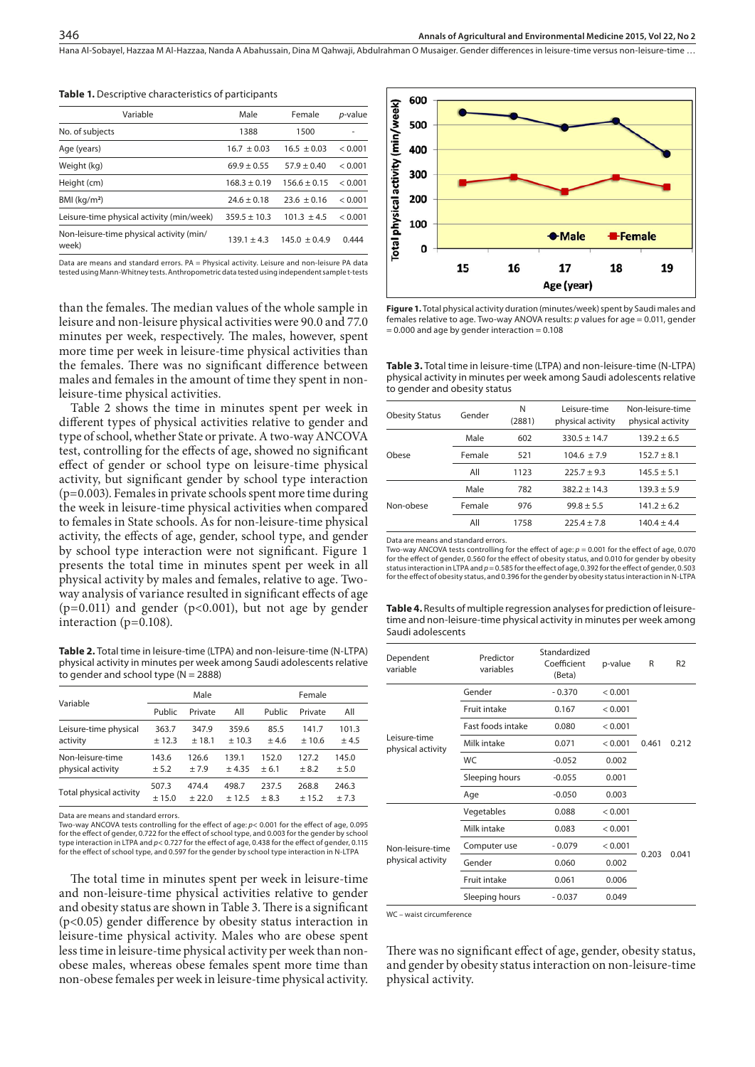Hana Al-Sobayel, Hazzaa M Al-Hazzaa, Nanda A Abahussain, Dina M Qahwaji, Abdulrahman O Musaiger . Gender differences in leisure-time versus non-leisure-time …

| Variable                                          | Male             | Female            | <i>p</i> -value |  |
|---------------------------------------------------|------------------|-------------------|-----------------|--|
| No. of subjects                                   | 1388             | 1500              |                 |  |
| Age (years)                                       | $16.7 + 0.03$    | $16.5 + 0.03$     | < 0.001         |  |
| Weight (kg)                                       | $69.9 + 0.55$    | $57.9 + 0.40$     | < 0.001         |  |
| Height (cm)                                       | $168.3 + 0.19$   | $156.6 \pm 0.15$  | < 0.001         |  |
| $BMl$ (kg/m <sup>2</sup> )                        | $24.6 + 0.18$    | $23.6 \pm 0.16$   | < 0.001         |  |
| Leisure-time physical activity (min/week)         | $359.5 \pm 10.3$ | $101.3 + 4.5$     | < 0.001         |  |
| Non-leisure-time physical activity (min/<br>week) | $139.1 + 4.3$    | $145.0 \pm 0.4.9$ | 0.444           |  |

**Table 1.** Descriptive characteristics of participants

Data are means and standard errors. PA = Physical activity. Leisure and non-leisure PA data tested using Mann-Whitney tests. Anthropometric data tested using independent sample t-tests

than the females. The median values of the whole sample in leisure and non-leisure physical activities were 90.0 and 77.0 minutes per week, respectively. The males, however, spent more time per week in leisure-time physical activities than the females. There was no significant difference between males and females in the amount of time they spent in nonleisure-time physical activities.

Table 2 shows the time in minutes spent per week in different types of physical activities relative to gender and type of school, whether State or private. A two-way ANCOVA test, controlling for the effects of age, showed no significant effect of gender or school type on leisure-time physical activity, but significant gender by school type interaction (p=0.003). Females in private schools spent more time during the week in leisure-time physical activities when compared to females in State schools. As for non-leisure-time physical activity, the effects of age, gender, school type, and gender by school type interaction were not significant. Figure 1 presents the total time in minutes spent per week in all physical activity by males and females, relative to age. Twoway analysis of variance resulted in significant effects of age  $(p=0.011)$  and gender  $(p<0.001)$ , but not age by gender interaction (p=0.108).

**Table 2.** Total time in leisure-time (LTPA) and non-leisure-time (N-LTPA) physical activity in minutes per week among Saudi adolescents relative to gender and school type ( $N = 2888$ )

| Variable                | Male    |         |         | Female |         |        |  |
|-------------------------|---------|---------|---------|--------|---------|--------|--|
|                         | Public  | Private | All     | Public | Private | All    |  |
| Leisure-time physical   | 363.7   | 347.9   | 359.6   | 85.5   | 141.7   | 101.3  |  |
| activity                | ± 12.3  | ± 18.1  | $+10.3$ | $+4.6$ | $+10.6$ | ± 4.5  |  |
| Non-leisure-time        | 143.6   | 126.6   | 139.1   | 152.0  | 127.2   | 145.0  |  |
| physical activity       | $+5.2$  | $+7.9$  | $+4.35$ | $+6.1$ | $+8.2$  | ± 5.0  |  |
| Total physical activity | 507.3   | 474.4   | 498.7   | 237.5  | 268.8   | 246.3  |  |
|                         | $+15.0$ | $+22.0$ | $+12.5$ | $+8.3$ | ± 15.2  | $+7.3$ |  |

Data are means and standard errors.

Two-way ANCOVA tests controlling for the effect of age: *p*< 0.001 for the effect of age, 0.095 for the effect of gender, 0.722 for the effect of school type, and 0.003 for the gender by school type interaction in LTPA and *p*< 0.727 for the effect of age, 0.438 for the effect of gender, 0.115 for the effect of school type, and 0.597 for the gender by school type interaction in N-LTPA

The total time in minutes spent per week in leisure-time and non-leisure-time physical activities relative to gender and obesity status are shown in Table 3. There is a significant (p<0.05) gender difference by obesity status interaction in leisure-time physical activity. Males who are obese spent less time in leisure-time physical activity per week than nonobese males, whereas obese females spent more time than non-obese females per week in leisure-time physical activity.



**Figure 1.** Total physical activity duration (minutes/week) spent by Saudi males and females relative to age. Two-way ANOVA results: *p* values for age = 0.011, gender  $= 0.000$  and age by gender interaction  $= 0.108$ 

**Table 3.** Total time in leisure-time (LTPA) and non-leisure-time (N-LTPA) physical activity in minutes per week among Saudi adolescents relative to gender and obesity status

| <b>Obesity Status</b> | Gender | N<br>(2881) | Leisure-time<br>physical activity | Non-leisure-time<br>physical activity |  |
|-----------------------|--------|-------------|-----------------------------------|---------------------------------------|--|
|                       | Male   | 602         | $330.5 \pm 14.7$                  | $139.2 + 6.5$                         |  |
| Obese                 | Female | 521         | $104.6 \pm 7.9$<br>$152.7 + 8.1$  |                                       |  |
|                       | All    | 1123        | $225.7 + 9.3$                     | $145.5 + 5.1$                         |  |
| Non-obese             | Male   | 782         | $382.2 + 14.3$                    | $139.3 + 5.9$                         |  |
|                       | Female | 976         | $99.8 + 5.5$                      | $141.2 + 6.2$                         |  |
|                       | All    | 1758        | $225.4 + 7.8$                     | $140.4 + 4.4$                         |  |

Data are means and standard errors.

Two-way ANCOVA tests controlling for the effect of age: *p* = 0.001 for the effect of age, 0.070 for the effect of gender, 0.560 for the effect of obesity status, and 0.010 for gender by obesity status interaction in LTPA and *p* = 0.585 for the effect of age, 0.392 for the effect of gender, 0.503 for the effect of obesity status, and 0.396 for the gender by obesity status interaction in N-LTPA

**Table 4.** Results of multiple regression analyses for prediction of leisuretime and non-leisure-time physical activity in minutes per week among Saudi adolescents

| Dependent<br>variable                 | Predictor<br>variables | Standardized<br>Coefficient<br>(Beta) | p-value | R     | R <sub>2</sub> |
|---------------------------------------|------------------------|---------------------------------------|---------|-------|----------------|
| Leisure-time<br>physical activity     | Gender                 | $-0.370$                              | < 0.001 |       | 0.212          |
|                                       | Fruit intake           | 0.167                                 | < 0.001 |       |                |
|                                       | Fast foods intake      | 0.080                                 | < 0.001 |       |                |
|                                       | Milk intake            | 0.071                                 | < 0.001 | 0.461 |                |
|                                       | WC                     | $-0.052$                              | 0.002   |       |                |
|                                       | Sleeping hours         | $-0.055$                              | 0.001   |       |                |
|                                       | Age                    | $-0.050$                              | 0.003   |       |                |
| Non-leisure-time<br>physical activity | Vegetables             | 0.088                                 | < 0.001 |       | 0.041          |
|                                       | Milk intake            | 0.083                                 | < 0.001 |       |                |
|                                       | Computer use           | $-0.079$                              | < 0.001 |       |                |
|                                       | Gender                 | 0.060                                 | 0.002   | 0.203 |                |
|                                       | Fruit intake           |                                       | 0.006   |       |                |
|                                       | Sleeping hours         | $-0.037$                              | 0.049   |       |                |

WC – waist circumference

There was no significant effect of age, gender, obesity status, and gender by obesity status interaction on non-leisure-time physical activity.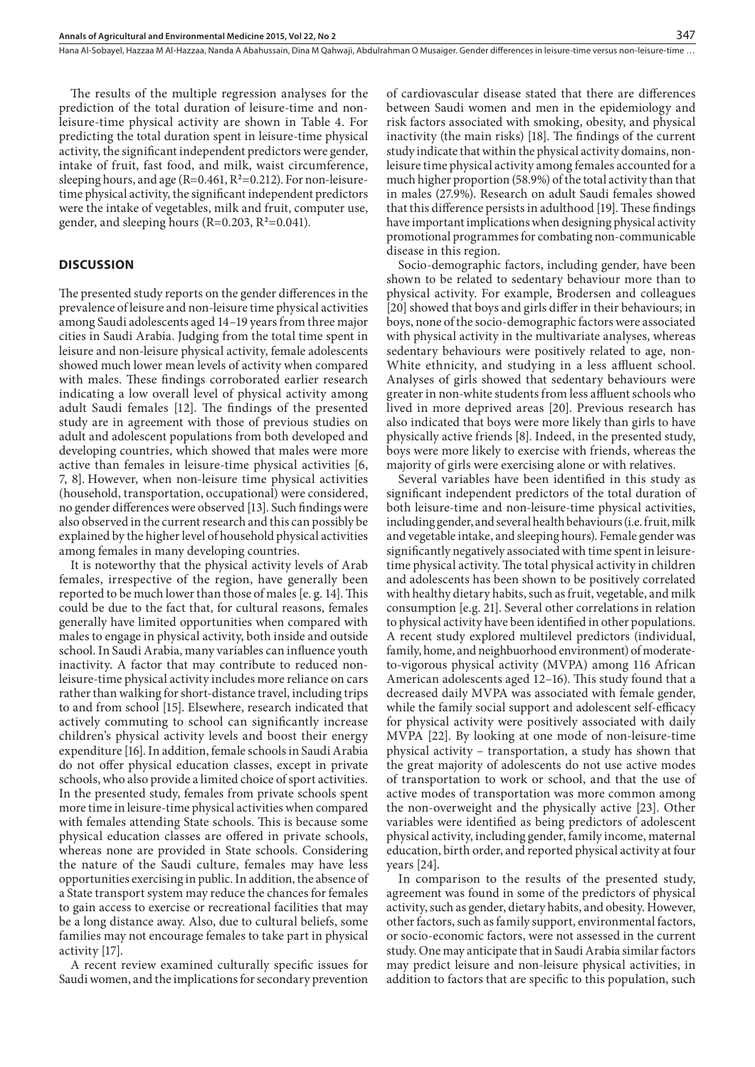The results of the multiple regression analyses for the prediction of the total duration of leisure-time and nonleisure-time physical activity are shown in Table 4. For predicting the total duration spent in leisure-time physical activity, the significant independent predictors were gender, intake of fruit, fast food, and milk, waist circumference, sleeping hours, and age (R=0.461, R**<sup>2</sup>** =0.212). For non-leisuretime physical activity, the significant independent predictors were the intake of vegetables, milk and fruit, computer use, gender, and sleeping hours (R=0.203, R**<sup>2</sup>** =0.041).

#### **DISCUSSION**

The presented study reports on the gender differences in the prevalence of leisure and non-leisure time physical activities among Saudi adolescents aged 14–19 years from three major cities in Saudi Arabia. Judging from the total time spent in leisure and non-leisure physical activity, female adolescents showed much lower mean levels of activity when compared with males. These findings corroborated earlier research indicating a low overall level of physical activity among adult Saudi females [12]. The findings of the presented study are in agreement with those of previous studies on adult and adolescent populations from both developed and developing countries, which showed that males were more active than females in leisure-time physical activities [6, 7, 8]. However, when non-leisure time physical activities (household, transportation, occupational) were considered, no gender differences were observed [13]. Such findings were also observed in the current research and this can possibly be explained by the higher level of household physical activities among females in many developing countries.

It is noteworthy that the physical activity levels of Arab females, irrespective of the region, have generally been reported to be much lower than those of males [e. g. 14]. This could be due to the fact that, for cultural reasons, females generally have limited opportunities when compared with males to engage in physical activity, both inside and outside school. In Saudi Arabia, many variables can influence youth inactivity. A factor that may contribute to reduced nonleisure-time physical activity includes more reliance on cars rather than walking for short-distance travel, including trips to and from school [15]. Elsewhere, research indicated that actively commuting to school can significantly increase children's physical activity levels and boost their energy expenditure [16]. In addition, female schools in Saudi Arabia do not offer physical education classes, except in private schools, who also provide a limited choice of sport activities. In the presented study, females from private schools spent more time in leisure-time physical activities when compared with females attending State schools. This is because some physical education classes are offered in private schools, whereas none are provided in State schools. Considering the nature of the Saudi culture, females may have less opportunities exercising in public. In addition, the absence of a State transport system may reduce the chances for females to gain access to exercise or recreational facilities that may be a long distance away. Also, due to cultural beliefs, some families may not encourage females to take part in physical activity [17].

A recent review examined culturally specific issues for Saudi women, and the implications for secondary prevention of cardiovascular disease stated that there are differences between Saudi women and men in the epidemiology and risk factors associated with smoking, obesity, and physical inactivity (the main risks) [18]. The findings of the current study indicate that within the physical activity domains, nonleisure time physical activity among females accounted for a much higher proportion (58.9%) of the total activity than that in males (27.9%). Research on adult Saudi females showed that this difference persists in adulthood [19]. These findings have important implications when designing physical activity promotional programmes for combating non-communicable disease in this region.

Socio-demographic factors, including gender, have been shown to be related to sedentary behaviour more than to physical activity. For example, Brodersen and colleagues [20] showed that boys and girls differ in their behaviours; in boys, none of the socio-demographic factors were associated with physical activity in the multivariate analyses, whereas sedentary behaviours were positively related to age, non-White ethnicity, and studying in a less affluent school. Analyses of girls showed that sedentary behaviours were greater in non-white students from less affluent schools who lived in more deprived areas [20]. Previous research has also indicated that boys were more likely than girls to have physically active friends [8]. Indeed, in the presented study, boys were more likely to exercise with friends, whereas the majority of girls were exercising alone or with relatives.

Several variables have been identified in this study as significant independent predictors of the total duration of both leisure-time and non-leisure-time physical activities, including gender, and several health behaviours (i.e. fruit, milk and vegetable intake, and sleeping hours). Female gender was significantly negatively associated with time spent in leisuretime physical activity. The total physical activity in children and adolescents has been shown to be positively correlated with healthy dietary habits, such as fruit, vegetable, and milk consumption [e.g. 21]. Several other correlations in relation to physical activity have been identified in other populations. A recent study explored multilevel predictors (individual, family, home, and neighbuorhood environment) of moderateto-vigorous physical activity (MVPA) among 116 African American adolescents aged 12–16). This study found that a decreased daily MVPA was associated with female gender, while the family social support and adolescent self-efficacy for physical activity were positively associated with daily MVPA [22]. By looking at one mode of non-leisure-time physical activity – transportation, a study has shown that the great majority of adolescents do not use active modes of transportation to work or school, and that the use of active modes of transportation was more common among the non-overweight and the physically active [23]. Other variables were identified as being predictors of adolescent physical activity, including gender, family income, maternal education, birth order, and reported physical activity at four years [24].

In comparison to the results of the presented study, agreement was found in some of the predictors of physical activity, such as gender, dietary habits, and obesity. However, other factors, such as family support, environmental factors, or socio-economic factors, were not assessed in the current study. One may anticipate that in Saudi Arabia similar factors may predict leisure and non-leisure physical activities, in addition to factors that are specific to this population, such